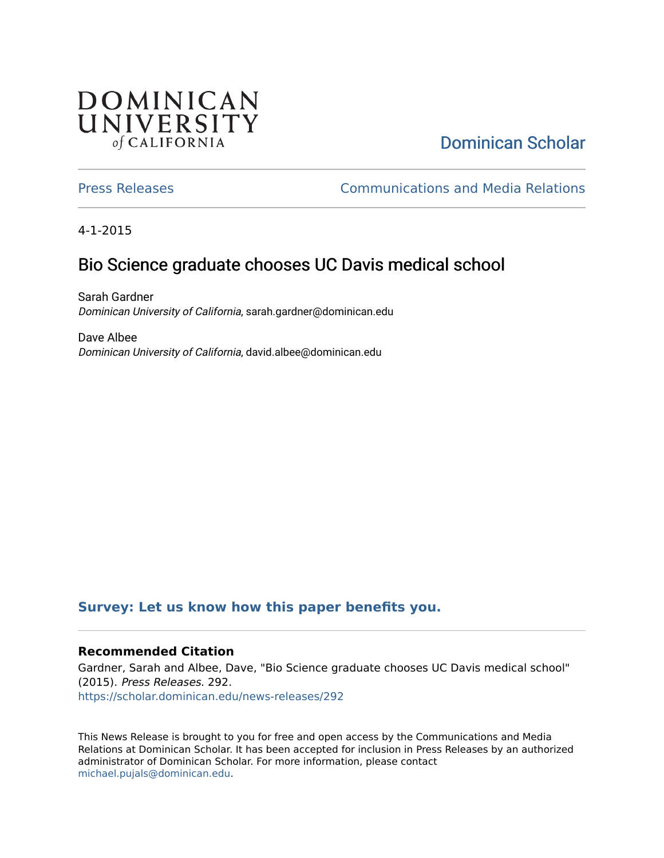## **DOMINICAN** UNIVERSITY of CALIFORNIA

# [Dominican Scholar](https://scholar.dominican.edu/)

[Press Releases](https://scholar.dominican.edu/news-releases) [Communications and Media Relations](https://scholar.dominican.edu/communications-media) 

4-1-2015

## Bio Science graduate chooses UC Davis medical school

Sarah Gardner Dominican University of California, sarah.gardner@dominican.edu

Dave Albee Dominican University of California, david.albee@dominican.edu

#### **[Survey: Let us know how this paper benefits you.](https://dominican.libwizard.com/dominican-scholar-feedback)**

#### **Recommended Citation**

Gardner, Sarah and Albee, Dave, "Bio Science graduate chooses UC Davis medical school" (2015). Press Releases. 292. [https://scholar.dominican.edu/news-releases/292](https://scholar.dominican.edu/news-releases/292?utm_source=scholar.dominican.edu%2Fnews-releases%2F292&utm_medium=PDF&utm_campaign=PDFCoverPages)

This News Release is brought to you for free and open access by the Communications and Media Relations at Dominican Scholar. It has been accepted for inclusion in Press Releases by an authorized administrator of Dominican Scholar. For more information, please contact [michael.pujals@dominican.edu.](mailto:michael.pujals@dominican.edu)